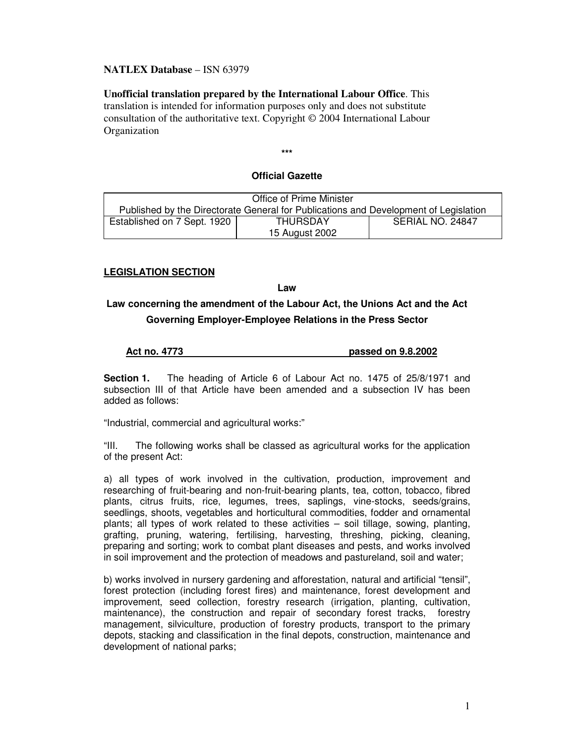## **NATLEX Database** – ISN 63979

**Unofficial translation prepared by the International Labour Office**. This translation is intended for information purposes only and does not substitute consultation of the authoritative text. Copyright © 2004 International Labour **Organization** 

**\*\*\***

## **Official Gazette**

| <b>Office of Prime Minister</b>                                                      |                 |                  |
|--------------------------------------------------------------------------------------|-----------------|------------------|
| Published by the Directorate General for Publications and Development of Legislation |                 |                  |
| Established on 7 Sept. 1920                                                          | <b>THURSDAY</b> | SERIAL NO. 24847 |
|                                                                                      | 15 August 2002  |                  |

## **LEGISLATION SECTION**

**Law**

# **Law concerning the amendment of the Labour Act, the Unions Act and the Act Governing Employer-Employee Relations in the Press Sector**

# **Act no. 4773 passed on 9.8.2002**

**Section 1.** The heading of Article 6 of Labour Act no. 1475 of 25/8/1971 and subsection III of that Article have been amended and a subsection IV has been added as follows:

"Industrial, commercial and agricultural works:"

"III. The following works shall be classed as agricultural works for the application of the present Act:

a) all types of work involved in the cultivation, production, improvement and researching of fruit-bearing and non-fruit-bearing plants, tea, cotton, tobacco, fibred plants, citrus fruits, rice, legumes, trees, saplings, vine-stocks, seeds/grains, seedlings, shoots, vegetables and horticultural commodities, fodder and ornamental plants; all types of work related to these activities – soil tillage, sowing, planting, grafting, pruning, watering, fertilising, harvesting, threshing, picking, cleaning, preparing and sorting; work to combat plant diseases and pests, and works involved in soil improvement and the protection of meadows and pastureland, soil and water;

b) works involved in nursery gardening and afforestation, natural and artificial "tensil", forest protection (including forest fires) and maintenance, forest development and improvement, seed collection, forestry research (irrigation, planting, cultivation, maintenance), the construction and repair of secondary forest tracks, forestry management, silviculture, production of forestry products, transport to the primary depots, stacking and classification in the final depots, construction, maintenance and development of national parks;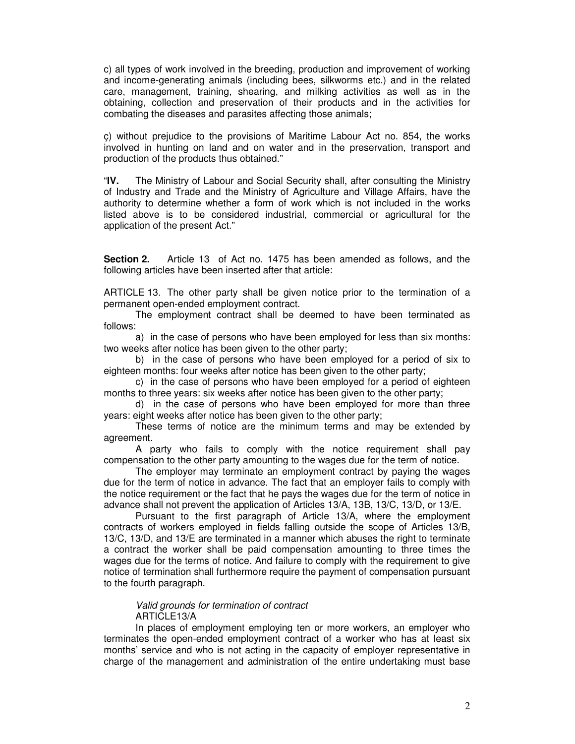c) all types of work involved in the breeding, production and improvement of working and income-generating animals (including bees, silkworms etc.) and in the related care, management, training, shearing, and milking activities as well as in the obtaining, collection and preservation of their products and in the activities for combating the diseases and parasites affecting those animals;

ç) without prejudice to the provisions of Maritime Labour Act no. 854, the works involved in hunting on land and on water and in the preservation, transport and production of the products thus obtained."

"**IV.** The Ministry of Labour and Social Security shall, after consulting the Ministry of Industry and Trade and the Ministry of Agriculture and Village Affairs, have the authority to determine whether a form of work which is not included in the works listed above is to be considered industrial, commercial or agricultural for the application of the present Act."

**Section 2.** Article 13 of Act no. 1475 has been amended as follows, and the following articles have been inserted after that article:

ARTICLE 13. The other party shall be given notice prior to the termination of a permanent open-ended employment contract.

The employment contract shall be deemed to have been terminated as follows:

a) in the case of persons who have been employed for less than six months: two weeks after notice has been given to the other party;

b) in the case of persons who have been employed for a period of six to eighteen months: four weeks after notice has been given to the other party;

c) in the case of persons who have been employed for a period of eighteen months to three years: six weeks after notice has been given to the other party;

d) in the case of persons who have been employed for more than three years: eight weeks after notice has been given to the other party;

These terms of notice are the minimum terms and may be extended by agreement.

A party who fails to comply with the notice requirement shall pay compensation to the other party amounting to the wages due for the term of notice.

The employer may terminate an employment contract by paying the wages due for the term of notice in advance. The fact that an employer fails to comply with the notice requirement or the fact that he pays the wages due for the term of notice in advance shall not prevent the application of Articles 13/A, 13B, 13/C, 13/D, or 13/E.

Pursuant to the first paragraph of Article 13/A, where the employment contracts of workers employed in fields falling outside the scope of Articles 13/B, 13/C, 13/D, and 13/E are terminated in a manner which abuses the right to terminate a contract the worker shall be paid compensation amounting to three times the wages due for the terms of notice. And failure to comply with the requirement to give notice of termination shall furthermore require the payment of compensation pursuant to the fourth paragraph.

#### *Valid grounds for termination of contract* ARTICLE13/A

In places of employment employing ten or more workers, an employer who terminates the open-ended employment contract of a worker who has at least six months' service and who is not acting in the capacity of employer representative in charge of the management and administration of the entire undertaking must base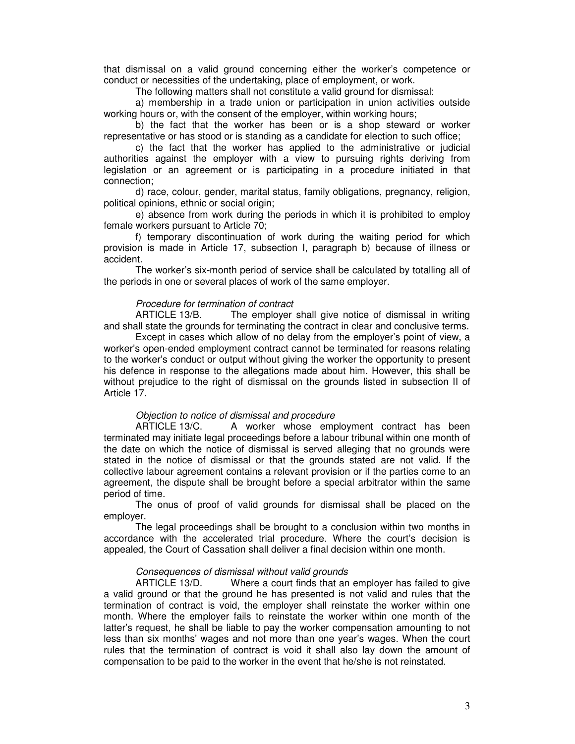that dismissal on a valid ground concerning either the worker's competence or conduct or necessities of the undertaking, place of employment, or work.

The following matters shall not constitute a valid ground for dismissal:

a) membership in a trade union or participation in union activities outside working hours or, with the consent of the employer, within working hours;

b) the fact that the worker has been or is a shop steward or worker representative or has stood or is standing as a candidate for election to such office;

c) the fact that the worker has applied to the administrative or judicial authorities against the employer with a view to pursuing rights deriving from legislation or an agreement or is participating in a procedure initiated in that connection;

d) race, colour, gender, marital status, family obligations, pregnancy, religion, political opinions, ethnic or social origin;

e) absence from work during the periods in which it is prohibited to employ female workers pursuant to Article 70;

f) temporary discontinuation of work during the waiting period for which provision is made in Article 17, subsection I, paragraph b) because of illness or accident.

The worker's six-month period of service shall be calculated by totalling all of the periods in one or several places of work of the same employer.

#### *Procedure for termination of contract*

ARTICLE 13/B. The employer shall give notice of dismissal in writing and shall state the grounds for terminating the contract in clear and conclusive terms.

Except in cases which allow of no delay from the employer's point of view, a worker's open-ended employment contract cannot be terminated for reasons relating to the worker's conduct or output without giving the worker the opportunity to present his defence in response to the allegations made about him. However, this shall be without prejudice to the right of dismissal on the grounds listed in subsection II of Article 17.

#### *Objection to notice of dismissal and procedure*

ARTICLE 13/C. A worker whose employment contract has been terminated may initiate legal proceedings before a labour tribunal within one month of the date on which the notice of dismissal is served alleging that no grounds were stated in the notice of dismissal or that the grounds stated are not valid. If the collective labour agreement contains a relevant provision or if the parties come to an agreement, the dispute shall be brought before a special arbitrator within the same period of time.

The onus of proof of valid grounds for dismissal shall be placed on the employer.

The legal proceedings shall be brought to a conclusion within two months in accordance with the accelerated trial procedure. Where the court's decision is appealed, the Court of Cassation shall deliver a final decision within one month.

#### *Consequences of dismissal without valid grounds*

ARTICLE 13/D. Where a court finds that an employer has failed to give a valid ground or that the ground he has presented is not valid and rules that the termination of contract is void, the employer shall reinstate the worker within one month. Where the employer fails to reinstate the worker within one month of the latter's request, he shall be liable to pay the worker compensation amounting to not less than six months' wages and not more than one year's wages. When the court rules that the termination of contract is void it shall also lay down the amount of compensation to be paid to the worker in the event that he/she is not reinstated.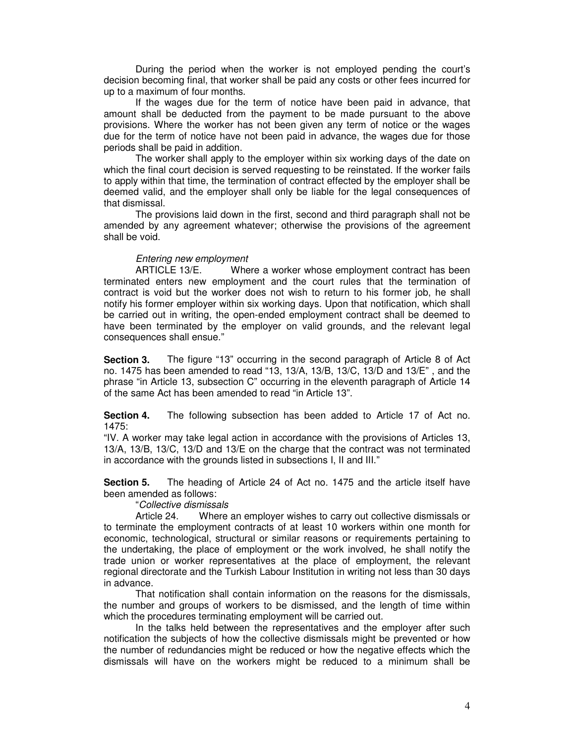During the period when the worker is not employed pending the court's decision becoming final, that worker shall be paid any costs or other fees incurred for up to a maximum of four months.

If the wages due for the term of notice have been paid in advance, that amount shall be deducted from the payment to be made pursuant to the above provisions. Where the worker has not been given any term of notice or the wages due for the term of notice have not been paid in advance, the wages due for those periods shall be paid in addition.

The worker shall apply to the employer within six working days of the date on which the final court decision is served requesting to be reinstated. If the worker fails to apply within that time, the termination of contract effected by the employer shall be deemed valid, and the employer shall only be liable for the legal consequences of that dismissal.

The provisions laid down in the first, second and third paragraph shall not be amended by any agreement whatever; otherwise the provisions of the agreement shall be void.

### *Entering new employment*

ARTICLE 13/E. Where a worker whose employment contract has been terminated enters new employment and the court rules that the termination of contract is void but the worker does not wish to return to his former job, he shall notify his former employer within six working days. Upon that notification, which shall be carried out in writing, the open-ended employment contract shall be deemed to have been terminated by the employer on valid grounds, and the relevant legal consequences shall ensue."

**Section 3.** The figure "13" occurring in the second paragraph of Article 8 of Act no. 1475 has been amended to read "13, 13/A, 13/B, 13/C, 13/D and 13/E" , and the phrase "in Article 13, subsection C" occurring in the eleventh paragraph of Article 14 of the same Act has been amended to read "in Article 13".

**Section 4.** The following subsection has been added to Article 17 of Act no. 1475:

"IV. A worker may take legal action in accordance with the provisions of Articles 13, 13/A, 13/B, 13/C, 13/D and 13/E on the charge that the contract was not terminated in accordance with the grounds listed in subsections I, II and III."

**Section 5.** The heading of Article 24 of Act no. 1475 and the article itself have been amended as follows:

"*Collective dismissals*

Article 24. Where an employer wishes to carry out collective dismissals or to terminate the employment contracts of at least 10 workers within one month for economic, technological, structural or similar reasons or requirements pertaining to the undertaking, the place of employment or the work involved, he shall notify the trade union or worker representatives at the place of employment, the relevant regional directorate and the Turkish Labour Institution in writing not less than 30 days in advance.

That notification shall contain information on the reasons for the dismissals, the number and groups of workers to be dismissed, and the length of time within which the procedures terminating employment will be carried out.

In the talks held between the representatives and the employer after such notification the subjects of how the collective dismissals might be prevented or how the number of redundancies might be reduced or how the negative effects which the dismissals will have on the workers might be reduced to a minimum shall be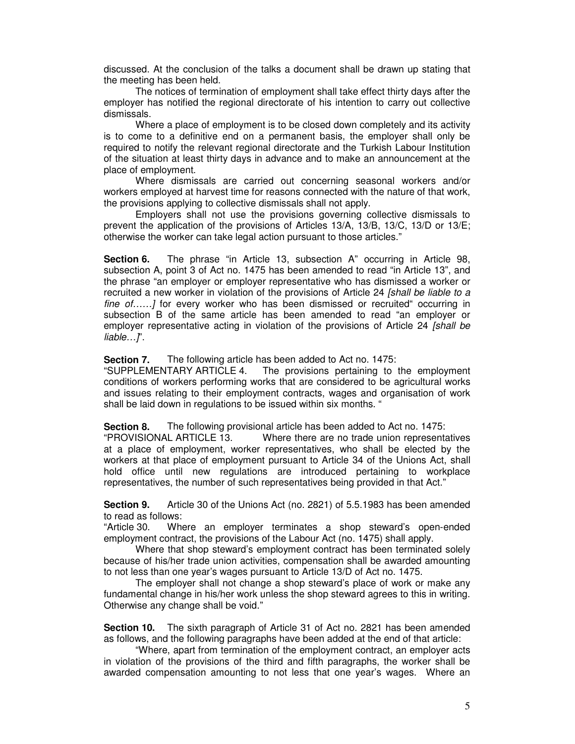discussed. At the conclusion of the talks a document shall be drawn up stating that the meeting has been held.

The notices of termination of employment shall take effect thirty days after the employer has notified the regional directorate of his intention to carry out collective dismissals.

Where a place of employment is to be closed down completely and its activity is to come to a definitive end on a permanent basis, the employer shall only be required to notify the relevant regional directorate and the Turkish Labour Institution of the situation at least thirty days in advance and to make an announcement at the place of employment.

Where dismissals are carried out concerning seasonal workers and/or workers employed at harvest time for reasons connected with the nature of that work, the provisions applying to collective dismissals shall not apply.

Employers shall not use the provisions governing collective dismissals to prevent the application of the provisions of Articles 13/A, 13/B, 13/C, 13/D or 13/E; otherwise the worker can take legal action pursuant to those articles."

**Section 6.** The phrase "in Article 13, subsection A" occurring in Article 98, subsection A, point 3 of Act no. 1475 has been amended to read "in Article 13", and the phrase "an employer or employer representative who has dismissed a worker or recruited a new worker in violation of the provisions of Article 24 *[shall be liable to a fine of……]* for every worker who has been dismissed or recruited" occurring in subsection B of the same article has been amended to read "an employer or employer representative acting in violation of the provisions of Article 24 *[shall be liable…]*".

**Section 7.** The following article has been added to Act no. 1475:

"SUPPLEMENTARY ARTICLE 4. The provisions pertaining to the employment conditions of workers performing works that are considered to be agricultural works and issues relating to their employment contracts, wages and organisation of work shall be laid down in regulations to be issued within six months. "

**Section 8.** The following provisional article has been added to Act no. 1475:

"PROVISIONAL ARTICLE 13. Where there are no trade union representatives at a place of employment, worker representatives, who shall be elected by the workers at that place of employment pursuant to Article 34 of the Unions Act, shall hold office until new regulations are introduced pertaining to workplace representatives, the number of such representatives being provided in that Act."

**Section 9.** Article 30 of the Unions Act (no. 2821) of 5.5.1983 has been amended to read as follows:

"Article 30. Where an employer terminates a shop steward's open-ended employment contract, the provisions of the Labour Act (no. 1475) shall apply.

Where that shop steward's employment contract has been terminated solely because of his/her trade union activities, compensation shall be awarded amounting to not less than one year's wages pursuant to Article 13/D of Act no. 1475.

The employer shall not change a shop steward's place of work or make any fundamental change in his/her work unless the shop steward agrees to this in writing. Otherwise any change shall be void."

**Section 10.** The sixth paragraph of Article 31 of Act no. 2821 has been amended as follows, and the following paragraphs have been added at the end of that article:

"Where, apart from termination of the employment contract, an employer acts in violation of the provisions of the third and fifth paragraphs, the worker shall be awarded compensation amounting to not less that one year's wages. Where an